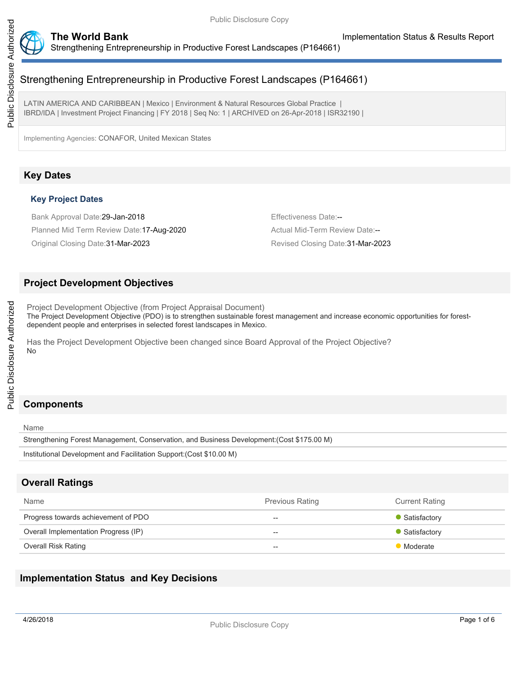

# Strengthening Entrepreneurship in Productive Forest Landscapes (P164661)

LATIN AMERICA AND CARIBBEAN | Mexico | Environment & Natural Resources Global Practice IBRD/IDA | Investment Project Financing | FY 2018 | Seq No: 1 | ARCHIVED on 26-Apr-2018 | ISR32190 |

Implementing Agencies: CONAFOR, United Mexican States

## **Key Dates**

### **Key Project Dates**

Bank Approval Date: 29-Jan-2018 **Effectiveness Date:**--Planned Mid Term Review Date:17-Aug-2020 Actual Mid-Term Review Date:--

Original Closing Date:31-Mar-2023 Revised Closing Date:31-Mar-2023

## **Project Development Objectives**

Project Development Objective (from Project Appraisal Document) The Project Development Objective (PDO) is to strengthen sustainable forest management and increase economic opportunities for forestdependent people and enterprises in selected forest landscapes in Mexico.

Has the Project Development Objective been changed since Board Approval of the Project Objective? No

# **Components**

Name

Public Disclosure Authorized

Public Disclosure Authorized

Strengthening Forest Management, Conservation, and Business Development:(Cost \$175.00 M)

```
Institutional Development and Facilitation Support:(Cost $10.00 M)
```
# **Overall Ratings**

| <b>Name</b>                          | <b>Previous Rating</b> | <b>Current Rating</b> |
|--------------------------------------|------------------------|-----------------------|
| Progress towards achievement of PDO  | $- -$                  | • Satisfactory        |
| Overall Implementation Progress (IP) | $- -$                  | • Satisfactory        |
| Overall Risk Rating                  | $- -$                  | Moderate              |

## **Implementation Status and Key Decisions**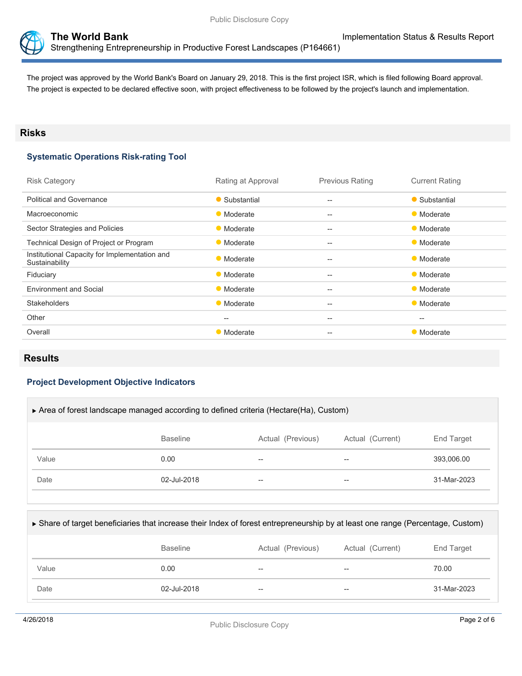



The project was approved by the World Bank's Board on January 29, 2018. This is the first project ISR, which is filed following Board approval. The project is expected to be declared effective soon, with project effectiveness to be followed by the project's launch and implementation.

## **Risks**

### **Systematic Operations Risk-rating Tool**

| <b>Risk Category</b>                                            | Rating at Approval | <b>Previous Rating</b>                              | <b>Current Rating</b> |
|-----------------------------------------------------------------|--------------------|-----------------------------------------------------|-----------------------|
| <b>Political and Governance</b>                                 | • Substantial      | $- -$                                               | • Substantial         |
| Macroeconomic                                                   | • Moderate         | $\qquad \qquad -$                                   | • Moderate            |
| Sector Strategies and Policies                                  | • Moderate         | $- -$                                               | • Moderate            |
| Technical Design of Project or Program                          | • Moderate         | $- -$                                               | • Moderate            |
| Institutional Capacity for Implementation and<br>Sustainability | • Moderate         | $- -$                                               | • Moderate            |
| Fiduciary                                                       | • Moderate         | $\qquad \qquad -$                                   | • Moderate            |
| <b>Environment and Social</b>                                   | • Moderate         | $\qquad \qquad -$                                   | • Moderate            |
| <b>Stakeholders</b>                                             | • Moderate         | $\hspace{0.05cm}$                                   | • Moderate            |
| Other                                                           | $\qquad \qquad -$  | $\hspace{0.05cm} -\hspace{0.05cm} -\hspace{0.05cm}$ | $--$                  |
| Overall                                                         | • Moderate         | $- -$                                               | • Moderate            |
|                                                                 |                    |                                                     |                       |

## **Results**

### **Project Development Objective Indicators**

| Area of forest landscape managed according to defined criteria (Hectare(Ha), Custom) |                 |                   |                  |             |
|--------------------------------------------------------------------------------------|-----------------|-------------------|------------------|-------------|
|                                                                                      | <b>Baseline</b> | Actual (Previous) | Actual (Current) | End Target  |
| Value                                                                                | 0.00            | $- -$             | --               | 393.006.00  |
| Date                                                                                 | 02-Jul-2018     | $- -$             | --               | 31-Mar-2023 |

| ► Share of target beneficiaries that increase their Index of forest entrepreneurship by at least one range (Percentage, Custom) |                 |                   |                  |             |  |
|---------------------------------------------------------------------------------------------------------------------------------|-----------------|-------------------|------------------|-------------|--|
|                                                                                                                                 | <b>Baseline</b> | Actual (Previous) | Actual (Current) | End Target  |  |
| Value                                                                                                                           | 0.00            | $- -$             | --               | 70.00       |  |
| Date                                                                                                                            | 02-Jul-2018     | $- -$             | --               | 31-Mar-2023 |  |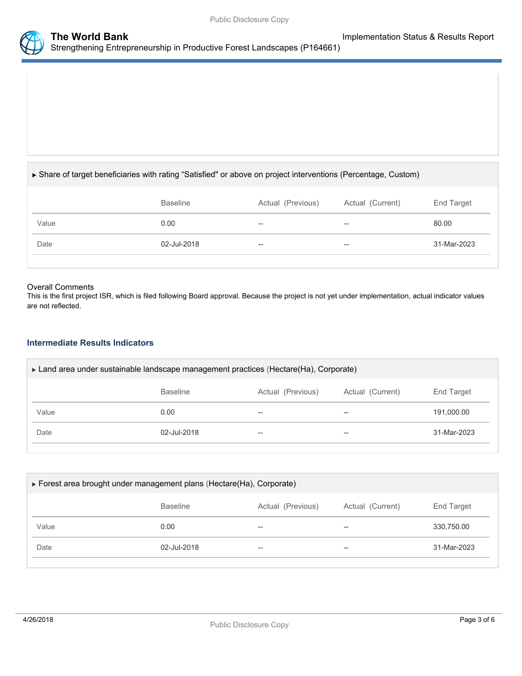



#### Share of target beneficiaries with rating "Satisfied" or above on project interventions (Percentage, Custom)

|       | <b>Baseline</b> | Actual (Previous) | Actual (Current) | End Target  |
|-------|-----------------|-------------------|------------------|-------------|
| Value | 0.00            | $- -$             | $- -$            | 80.00       |
| Date  | 02-Jul-2018     | $- -$             | $- -$            | 31-Mar-2023 |
|       |                 |                   |                  |             |

#### Overall Comments

This is the first project ISR, which is filed following Board approval. Because the project is not yet under implementation, actual indicator values are not reflected.

#### **Intermediate Results Indicators**

| $\triangleright$ Land area under sustainable landscape management practices (Hectare(Ha), Corporate) |             |       |       |             |  |
|------------------------------------------------------------------------------------------------------|-------------|-------|-------|-------------|--|
| Actual (Current)<br><b>Baseline</b><br>Actual (Previous)<br>End Target                               |             |       |       |             |  |
| Value                                                                                                | 0.00        | --    | --    | 191,000.00  |  |
| Date                                                                                                 | 02-Jul-2018 | $- -$ | $- -$ | 31-Mar-2023 |  |

| ► Forest area brought under management plans (Hectare(Ha), Corporate) |                 |                   |                  |             |  |
|-----------------------------------------------------------------------|-----------------|-------------------|------------------|-------------|--|
|                                                                       | <b>Baseline</b> | Actual (Previous) | Actual (Current) | End Target  |  |
| Value                                                                 | 0.00            | $- -$             | $- -$            | 330,750.00  |  |
| Date                                                                  | 02-Jul-2018     | $- -$             | $- -$            | 31-Mar-2023 |  |
|                                                                       |                 |                   |                  |             |  |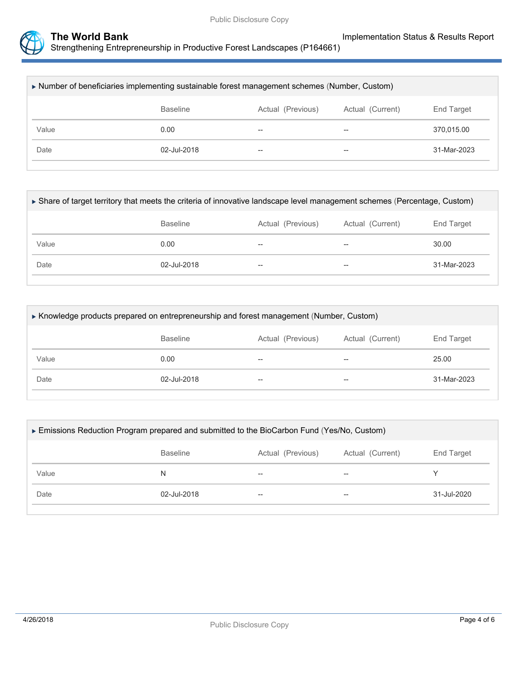

| Number of beneficiaries implementing sustainable forest management schemes (Number, Custom) |                 |                   |                  |             |
|---------------------------------------------------------------------------------------------|-----------------|-------------------|------------------|-------------|
|                                                                                             | <b>Baseline</b> | Actual (Previous) | Actual (Current) | End Target  |
| Value                                                                                       | 0.00            | $- -$             | --               | 370.015.00  |
| Date                                                                                        | 02-Jul-2018     | $- -$             | $- -$            | 31-Mar-2023 |
|                                                                                             |                 |                   |                  |             |

| ► Share of target territory that meets the criteria of innovative landscape level management schemes (Percentage, Custom) |                 |                   |                  |             |  |
|---------------------------------------------------------------------------------------------------------------------------|-----------------|-------------------|------------------|-------------|--|
|                                                                                                                           | <b>Baseline</b> | Actual (Previous) | Actual (Current) | End Target  |  |
| Value                                                                                                                     | 0.00            | --                | $- -$            | 30.00       |  |
| Date                                                                                                                      | $02 -$ Jul-2018 | --                | $- -$            | 31-Mar-2023 |  |
|                                                                                                                           |                 |                   |                  |             |  |

| ► Knowledge products prepared on entrepreneurship and forest management (Number, Custom) |             |       |    |             |  |
|------------------------------------------------------------------------------------------|-------------|-------|----|-------------|--|
| <b>Baseline</b><br>Actual (Previous)<br>Actual (Current)<br>End Target                   |             |       |    |             |  |
| Value                                                                                    | 0.00        | $-$   | -- | 25.00       |  |
| Date                                                                                     | 02-Jul-2018 | $- -$ | -- | 31-Mar-2023 |  |
|                                                                                          |             |       |    |             |  |

| ► Emissions Reduction Program prepared and submitted to the BioCarbon Fund (Yes/No, Custom) |             |    |     |             |  |  |
|---------------------------------------------------------------------------------------------|-------------|----|-----|-------------|--|--|
| <b>Baseline</b><br>End Target<br>Actual (Previous)<br>Actual (Current)                      |             |    |     |             |  |  |
| Value                                                                                       | N           | -- | $-$ |             |  |  |
| Date                                                                                        | 02-Jul-2018 | -- | $-$ | 31-Jul-2020 |  |  |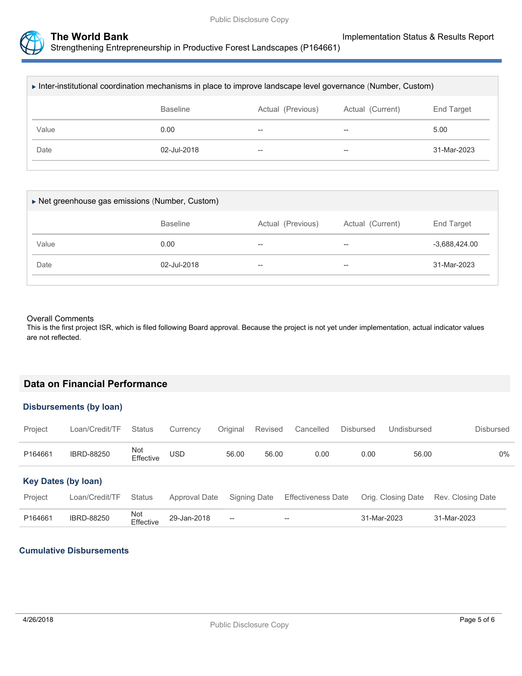

Strengthening Entrepreneurship in Productive Forest Landscapes (P164661)

| ► Inter-institutional coordination mechanisms in place to improve landscape level governance (Number, Custom) |                 |                   |                  |             |
|---------------------------------------------------------------------------------------------------------------|-----------------|-------------------|------------------|-------------|
|                                                                                                               | <b>Baseline</b> | Actual (Previous) | Actual (Current) | End Target  |
| Value                                                                                                         | 0.00            | --                | $-$              | 5.00        |
| Date                                                                                                          | 02-Jul-2018     | --                | --               | 31-Mar-2023 |
|                                                                                                               |                 |                   |                  |             |

| ▶ Net greenhouse gas emissions (Number, Custom) |                 |                   |                          |                 |  |  |  |  |
|-------------------------------------------------|-----------------|-------------------|--------------------------|-----------------|--|--|--|--|
|                                                 | <b>Baseline</b> | Actual (Previous) | Actual (Current)         | End Target      |  |  |  |  |
| Value                                           | 0.00            | $- -$             | $\overline{\phantom{m}}$ | $-3.688,424.00$ |  |  |  |  |
| Date                                            | 02-Jul-2018     | $- -$             | $\overline{\phantom{m}}$ | 31-Mar-2023     |  |  |  |  |
|                                                 |                 |                   |                          |                 |  |  |  |  |

#### Overall Comments

This is the first project ISR, which is filed following Board approval. Because the project is not yet under implementation, actual indicator values are not reflected.

### **Data on Financial Performance**

#### **Disbursements (by loan)**

| Project                    | Loan/Credit/TF    | <b>Status</b>    | Currency      | Original | Revised      | Cancelled                 | <b>Disbursed</b> | Undisbursed        | <b>Disbursed</b>  |  |
|----------------------------|-------------------|------------------|---------------|----------|--------------|---------------------------|------------------|--------------------|-------------------|--|
| P164661                    | <b>IBRD-88250</b> | Not<br>Effective | USD           | 56.00    | 56.00        | 0.00                      | 0.00             | 56.00              | $0\%$             |  |
| <b>Key Dates (by loan)</b> |                   |                  |               |          |              |                           |                  |                    |                   |  |
| Project                    | Loan/Credit/TF    | <b>Status</b>    | Approval Date |          | Signing Date | <b>Effectiveness Date</b> |                  | Orig. Closing Date | Rev. Closing Date |  |
| P164661                    | <b>IBRD-88250</b> | Not<br>Effective | 29-Jan-2018   | $- -$    |              | $\hspace{0.05cm}$         |                  | 31-Mar-2023        | 31-Mar-2023       |  |

#### **Cumulative Disbursements**